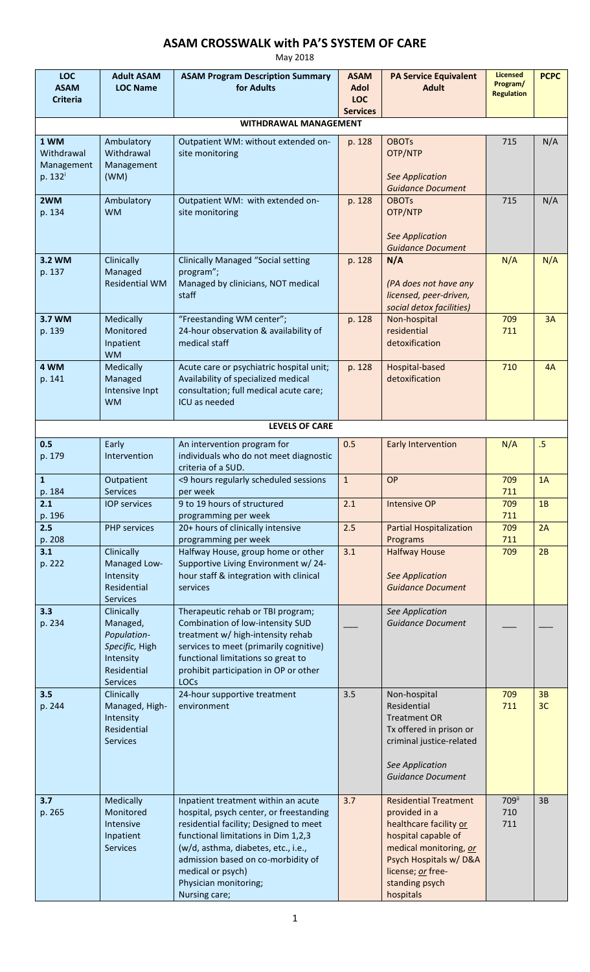## **ASAM CROSSWALK with PA'S SYSTEM OF CARE**

May 2018

| <b>LOC</b><br><b>ASAM</b><br><b>Criteria</b>            | <b>Adult ASAM</b><br><b>LOC Name</b>                                                                   | <b>ASAM Program Description Summary</b><br>for Adults                                                                                                                                                                                                                                                       | <b>ASAM</b><br><b>Adol</b><br><b>LOC</b><br><b>Services</b> | <b>PA Service Equivalent</b><br><b>Adult</b>                                                                                                                                                          | <b>Licensed</b><br>Program/<br><b>Regulation</b> | <b>PCPC</b> |  |  |  |  |  |
|---------------------------------------------------------|--------------------------------------------------------------------------------------------------------|-------------------------------------------------------------------------------------------------------------------------------------------------------------------------------------------------------------------------------------------------------------------------------------------------------------|-------------------------------------------------------------|-------------------------------------------------------------------------------------------------------------------------------------------------------------------------------------------------------|--------------------------------------------------|-------------|--|--|--|--|--|
| WITHDRAWAL MANAGEMENT                                   |                                                                                                        |                                                                                                                                                                                                                                                                                                             |                                                             |                                                                                                                                                                                                       |                                                  |             |  |  |  |  |  |
| 1 WM<br>Withdrawal<br>Management<br>p. 132 <sup>i</sup> | Ambulatory<br>Withdrawal<br>Management<br>(WM)                                                         | Outpatient WM: without extended on-<br>site monitoring                                                                                                                                                                                                                                                      | p. 128                                                      | <b>OBOTs</b><br>OTP/NTP<br><b>See Application</b><br><b>Guidance Document</b>                                                                                                                         | 715                                              | N/A         |  |  |  |  |  |
| 2WM<br>p. 134                                           | Ambulatory<br><b>WM</b>                                                                                | Outpatient WM: with extended on-<br>site monitoring                                                                                                                                                                                                                                                         | p. 128                                                      | <b>OBOTs</b><br>OTP/NTP<br><b>See Application</b><br><b>Guidance Document</b>                                                                                                                         | 715                                              | N/A         |  |  |  |  |  |
| 3.2 WM<br>p. 137                                        | Clinically<br>Managed<br><b>Residential WM</b>                                                         | <b>Clinically Managed "Social setting</b><br>program";<br>Managed by clinicians, NOT medical<br>staff                                                                                                                                                                                                       | p. 128                                                      | N/A<br>(PA does not have any<br>licensed, peer-driven,<br>social detox facilities)                                                                                                                    | N/A                                              | N/A         |  |  |  |  |  |
| 3.7 WM<br>p. 139                                        | Medically<br>Monitored<br>Inpatient<br><b>WM</b>                                                       | "Freestanding WM center";<br>24-hour observation & availability of<br>medical staff                                                                                                                                                                                                                         | p. 128                                                      | Non-hospital<br>residential<br>detoxification                                                                                                                                                         | 709<br>711                                       | 3A          |  |  |  |  |  |
| 4 WM<br>p. 141                                          | Medically<br>Managed<br>Intensive Inpt<br><b>WM</b>                                                    | Acute care or psychiatric hospital unit;<br>Availability of specialized medical<br>consultation; full medical acute care;<br>ICU as needed                                                                                                                                                                  | p. 128                                                      | Hospital-based<br>detoxification                                                                                                                                                                      | 710                                              | 4A          |  |  |  |  |  |
|                                                         |                                                                                                        | <b>LEVELS OF CARE</b>                                                                                                                                                                                                                                                                                       |                                                             |                                                                                                                                                                                                       |                                                  |             |  |  |  |  |  |
| 0.5<br>p. 179                                           | Early<br>Intervention                                                                                  | An intervention program for<br>individuals who do not meet diagnostic<br>criteria of a SUD.                                                                                                                                                                                                                 | 0.5                                                         | <b>Early Intervention</b>                                                                                                                                                                             | N/A                                              | $.5\,$      |  |  |  |  |  |
| $\mathbf{1}$<br>p. 184                                  | Outpatient<br><b>Services</b>                                                                          | <9 hours regularly scheduled sessions<br>per week                                                                                                                                                                                                                                                           | $\mathbf{1}$                                                | OP                                                                                                                                                                                                    | 709<br>711                                       | 1A          |  |  |  |  |  |
| 2.1<br>p. 196                                           | <b>IOP services</b>                                                                                    | 9 to 19 hours of structured<br>programming per week                                                                                                                                                                                                                                                         | $\overline{2.1}$                                            | <b>Intensive OP</b>                                                                                                                                                                                   | 709<br>711                                       | $1B$        |  |  |  |  |  |
| 2.5<br>p. 208                                           | <b>PHP</b> services                                                                                    | 20+ hours of clinically intensive<br>programming per week                                                                                                                                                                                                                                                   | 2.5                                                         | <b>Partial Hospitalization</b><br>Programs                                                                                                                                                            | 709<br>711                                       | 2A          |  |  |  |  |  |
| 3.1<br>p. 222                                           | Clinically<br>Managed Low-<br>Intensity<br>Residential<br>Services                                     | Halfway House, group home or other<br>Supportive Living Environment w/24-<br>hour staff & integration with clinical<br>services                                                                                                                                                                             | 3.1                                                         | <b>Halfway House</b><br><b>See Application</b><br><b>Guidance Document</b>                                                                                                                            | 709                                              | 2B          |  |  |  |  |  |
| 3.3<br>p. 234                                           | Clinically<br>Managed,<br>Population-<br>Specific, High<br>Intensity<br>Residential<br><b>Services</b> | Therapeutic rehab or TBI program;<br>Combination of low-intensity SUD<br>treatment w/ high-intensity rehab<br>services to meet (primarily cognitive)<br>functional limitations so great to<br>prohibit participation in OP or other<br>LOCs                                                                 |                                                             | See Application<br><b>Guidance Document</b>                                                                                                                                                           |                                                  |             |  |  |  |  |  |
| 3.5<br>p. 244                                           | Clinically<br>Managed, High-<br>Intensity<br>Residential<br><b>Services</b>                            | 24-hour supportive treatment<br>environment                                                                                                                                                                                                                                                                 | 3.5                                                         | Non-hospital<br>Residential<br><b>Treatment OR</b><br>Tx offered in prison or<br>criminal justice-related<br>See Application<br><b>Guidance Document</b>                                              | 709<br>711                                       | 3B<br>3C    |  |  |  |  |  |
| 3.7<br>p. 265                                           | Medically<br>Monitored<br>Intensive<br>Inpatient<br><b>Services</b>                                    | Inpatient treatment within an acute<br>hospital, psych center, or freestanding<br>residential facility; Designed to meet<br>functional limitations in Dim 1,2,3<br>(w/d, asthma, diabetes, etc., i.e.,<br>admission based on co-morbidity of<br>medical or psych)<br>Physician monitoring;<br>Nursing care; | 3.7                                                         | <b>Residential Treatment</b><br>provided in a<br>healthcare facility or<br>hospital capable of<br>medical monitoring, or<br>Psych Hospitals w/D&A<br>license; or free-<br>standing psych<br>hospitals | 709ii<br>710<br>711                              | 3B          |  |  |  |  |  |